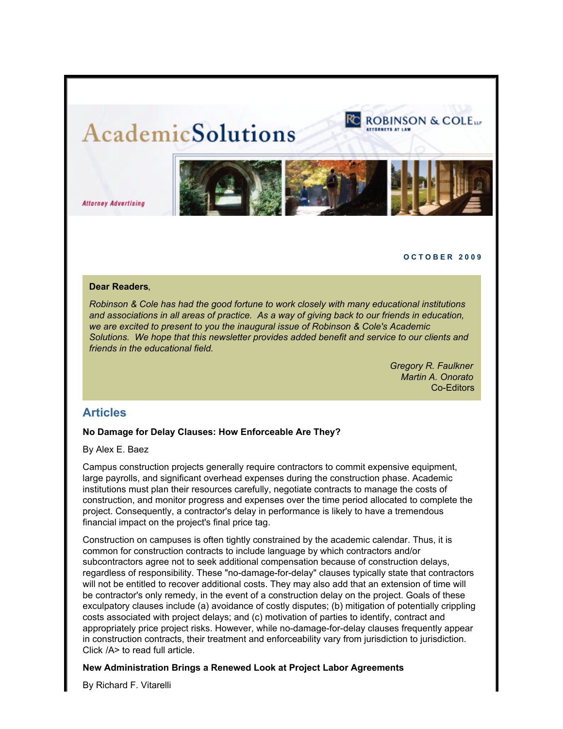# **AcademicSolutions**



**Attorney Advertising** 

#### **O C T O B E R 2 0 0 9**

### **Dear Readers**,

*Robinson & Cole has had the good fortune to work closely with many educational institutions and associations in all areas of practice. As a way of giving back to our friends in education, we are excited to present to you the inaugural issue of Robinson & Cole's Academic Solutions. We hope that this newsletter provides added benefit and service to our clients and friends in the educational field.* 

> *Gregory R. Faulkner Martin A. Onorato* Co-Editors

# **Articles**

## **No Damage for Delay Clauses: How Enforceable Are They?**

By Alex E. Baez

Campus construction projects generally require contractors to commit expensive equipment, large payrolls, and significant overhead expenses during the construction phase. Academic institutions must plan their resources carefully, negotiate contracts to manage the costs of construction, and monitor progress and expenses over the time period allocated to complete the project. Consequently, a contractor's delay in performance is likely to have a tremendous financial impact on the project's final price tag.

Construction on campuses is often tightly constrained by the academic calendar. Thus, it is common for construction contracts to include language by which contractors and/or subcontractors agree not to seek additional compensation because of construction delays, regardless of responsibility. These "no-damage-for-delay" clauses typically state that contractors will not be entitled to recover additional costs. They may also add that an extension of time will be contractor's only remedy, in the event of a construction delay on the project. Goals of these exculpatory clauses include (a) avoidance of costly disputes; (b) mitigation of potentially crippling costs associated with project delays; and (c) motivation of parties to identify, contract and appropriately price project risks. However, while no-damage-for-delay clauses frequently appear in construction contracts, their treatment and enforceability vary from jurisdiction to jurisdiction. Click /A> to read full article.

# **New Administration Brings a Renewed Look at Project Labor Agreements**

By Richard F. Vitarelli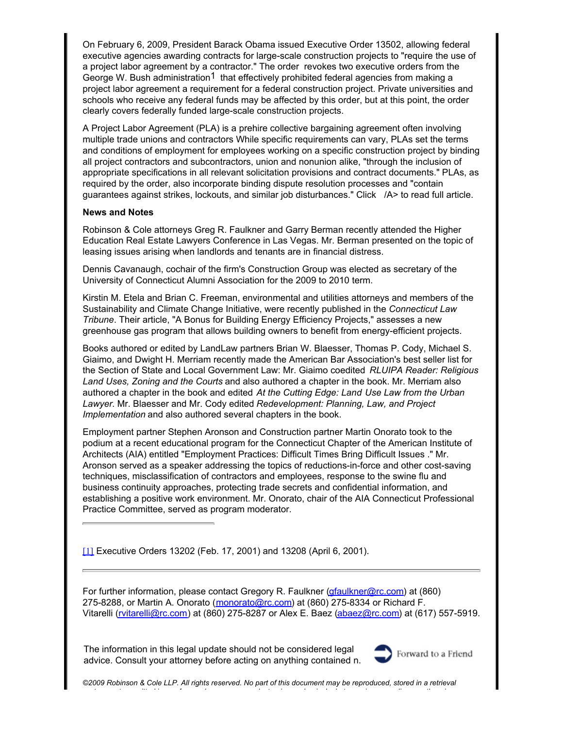On February 6, 2009, President Barack Obama issued Executive Order 13502, allowing federal executive agencies awarding contracts for large-scale construction projects to "require the use of a project labor agreement by a contractor." The order revokes two executive orders from the George W. Bush administration<sup>1</sup> that effectively prohibited federal agencies from making a project labor agreement a requirement for a federal construction project. Private universities and schools who receive any federal funds may be affected by this order, but at this point, the order clearly covers federally funded large-scale construction projects.

A Project Labor Agreement (PLA) is a prehire collective bargaining agreement often involving multiple trade unions and contractors While specific requirements can vary, PLAs set the terms and conditions of employment for employees working on a specific construction project by binding all project contractors and subcontractors, union and nonunion alike, "through the inclusion of appropriate specifications in all relevant solicitation provisions and contract documents." PLAs, as required by the order, also incorporate binding dispute resolution processes and "contain guarantees against strikes, lockouts, and similar job disturbances." Click /A> to read full article.

# **News and Notes**

Robinson & Cole attorneys Greg R. Faulkner and Garry Berman recently attended the Higher Education Real Estate Lawyers Conference in Las Vegas. Mr. Berman presented on the topic of leasing issues arising when landlords and tenants are in financial distress.

Dennis Cavanaugh, cochair of the firm's Construction Group was elected as secretary of the University of Connecticut Alumni Association for the 2009 to 2010 term.

Kirstin M. Etela and Brian C. Freeman, environmental and utilities attorneys and members of the Sustainability and Climate Change Initiative, were recently published in the *Connecticut Law Tribune*. Their article, "A Bonus for Building Energy Efficiency Projects," assesses a new greenhouse gas program that allows building owners to benefit from energy-efficient projects.

Books authored or edited by LandLaw partners Brian W. Blaesser, Thomas P. Cody, Michael S. Giaimo, and Dwight H. Merriam recently made the American Bar Association's best seller list for the Section of State and Local Government Law: Mr. Giaimo coedited *RLUIPA Reader: Religious Land Uses, Zoning and the Courts* and also authored a chapter in the book. Mr. Merriam also authored a chapter in the book and edited *At the Cutting Edge: Land Use Law from the Urban Lawyer*. Mr. Blaesser and Mr. Cody edited *Redevelopment: Planning, Law, and Project Implementation* and also authored several chapters in the book.

Employment partner Stephen Aronson and Construction partner Martin Onorato took to the podium at a recent educational program for the Connecticut Chapter of the American Institute of Architects (AIA) entitled "Employment Practices: Difficult Times Bring Difficult Issues ." Mr. Aronson served as a speaker addressing the topics of reductions-in-force and other cost-saving techniques, misclassification of contractors and employees, response to the swine flu and business continuity approaches, protecting trade secrets and confidential information, and establishing a positive work environment. Mr. Onorato, chair of the AIA Connecticut Professional Practice Committee, served as program moderator.

[\[1\]](http://view.exacttarget.com:80/ContentEditor.aspx?eid=5500409&key=cell1&EntityContentIsFor=Email&lp=0#_ftnref1) Executive Orders 13202 (Feb. 17, 2001) and 13208 (April 6, 2001).

For further information, please contact Gregory R. Faulkner [\(gfaulkner@rc.com](mailto:gfaulkner@rc.com)) at (860) 275-8288, or Martin A. Onorato ([monorato@rc.com](mailto:monorato@rc.com)) at (860) 275-8334 or Richard F. Vitarelli ([rvitarelli@rc.com](mailto:rvitarelli@rc.com)) at (860) 275-8287 or Alex E. Baez [\(abaez@rc.com](mailto:abaez@rc.com)) at (617) 557-5919.

The information in this legal update should not be considered legal advice. Consult your attorney before acting on anything contained n.



*©2009 Robinson & Cole LLP. All rights reserved. No part of this document may be reproduced, stored in a retrieval system, or transmitted in any form or by any means, electronic, mechanical, photocopying, recording, or otherwise,*